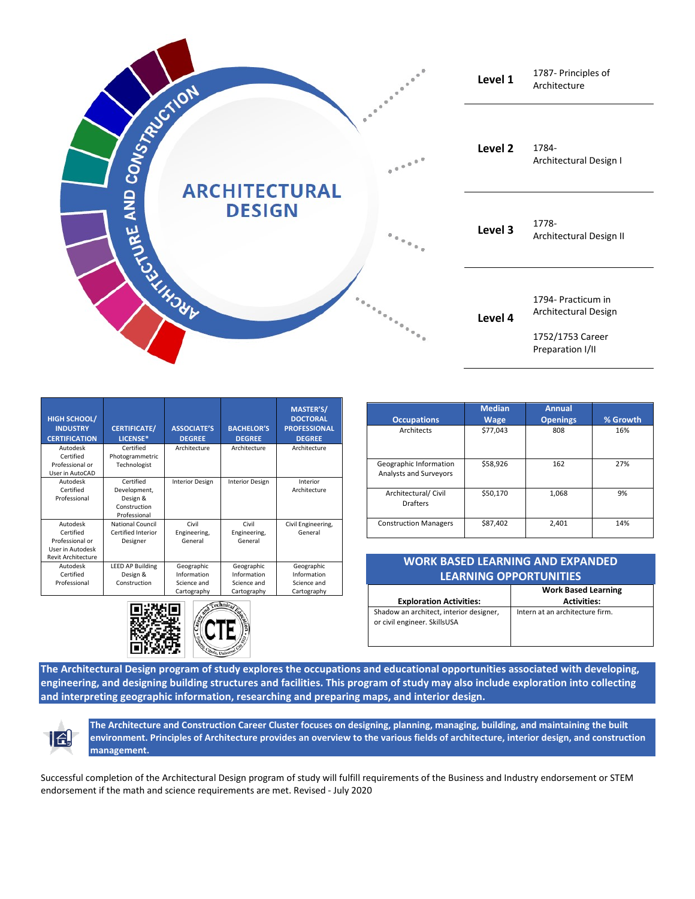

| <b>HIGH SCHOOL/</b><br><b>INDUSTRY</b><br><b>CERTIFICATION</b>                            | <b>CERTIFICATE/</b><br>LICENSE*                                       | <b>ASSOCIATE'S</b><br><b>DEGREE</b>                     | <b>BACHELOR'S</b><br><b>DEGREE</b>                      | <b>MASTER'S/</b><br><b>DOCTORAL</b><br><b>PROFESSIONAL</b><br><b>DEGREE</b> |
|-------------------------------------------------------------------------------------------|-----------------------------------------------------------------------|---------------------------------------------------------|---------------------------------------------------------|-----------------------------------------------------------------------------|
| Autodesk<br>Certified<br>Professional or<br>User in AutoCAD                               | Certified<br>Photogrammetric<br>Technologist                          | Architecture                                            | Architecture                                            | Architecture                                                                |
| Autodesk<br>Certified<br>Professional                                                     | Certified<br>Development,<br>Design &<br>Construction<br>Professional | <b>Interior Design</b>                                  | <b>Interior Design</b>                                  | Interior<br>Architecture                                                    |
| Autodesk<br>Certified<br>Professional or<br>User in Autodesk<br><b>Revit Architecture</b> | National Council<br>Certified Interior<br>Designer                    | Civil<br>Engineering,<br>General                        | Civil<br>Engineering,<br>General                        | Civil Engineering,<br>General                                               |
| Autodesk<br>Certified<br>Professional                                                     | <b>LEED AP Building</b><br>Design &<br>Construction                   | Geographic<br>Information<br>Science and<br>Cartography | Geographic<br>Information<br>Science and<br>Cartography | Geographic<br>Information<br>Science and<br>Cartography                     |



|                                                         | <b>Median</b> | <b>Annual</b>   |          |
|---------------------------------------------------------|---------------|-----------------|----------|
| <b>Occupations</b>                                      | <b>Wage</b>   | <b>Openings</b> | % Growth |
| <b>Architects</b>                                       | \$77,043      | 808             | 16%      |
| Geographic Information<br><b>Analysts and Surveyors</b> | \$58,926      | 162             | 27%      |
| Architectural/ Civil<br>Drafters                        | \$50.170      | 1.068           | 9%       |
| <b>Construction Managers</b>                            | \$87.402      | 2.401           | 14%      |

| <b>WORK BASED LEARNING AND EXPANDED</b><br><b>LEARNING OPPORTUNITIES</b> |                                                  |  |  |  |  |
|--------------------------------------------------------------------------|--------------------------------------------------|--|--|--|--|
| <b>Exploration Activities:</b>                                           | <b>Work Based Learning</b><br><b>Activities:</b> |  |  |  |  |
| Shadow an architect, interior designer,<br>or civil engineer. SkillsUSA  | Intern at an architecture firm.                  |  |  |  |  |

**The Architectural Design program of study explores the occupations and educational opportunities associated with developing, engineering, and designing building structures and facilities. This program of study may also include exploration into collecting and interpreting geographic information, researching and preparing maps, and interior design.**



**The Architecture and Construction Career Cluster focuses on designing, planning, managing, building, and maintaining the built environment. Principles of Architecture provides an overview to the various fields of architecture, interior design, and construction management.**

Successful completion of the Architectural Design program of study will fulfill requirements of the Business and Industry endorsement or STEM endorsement if the math and science requirements are met. Revised - July 2020